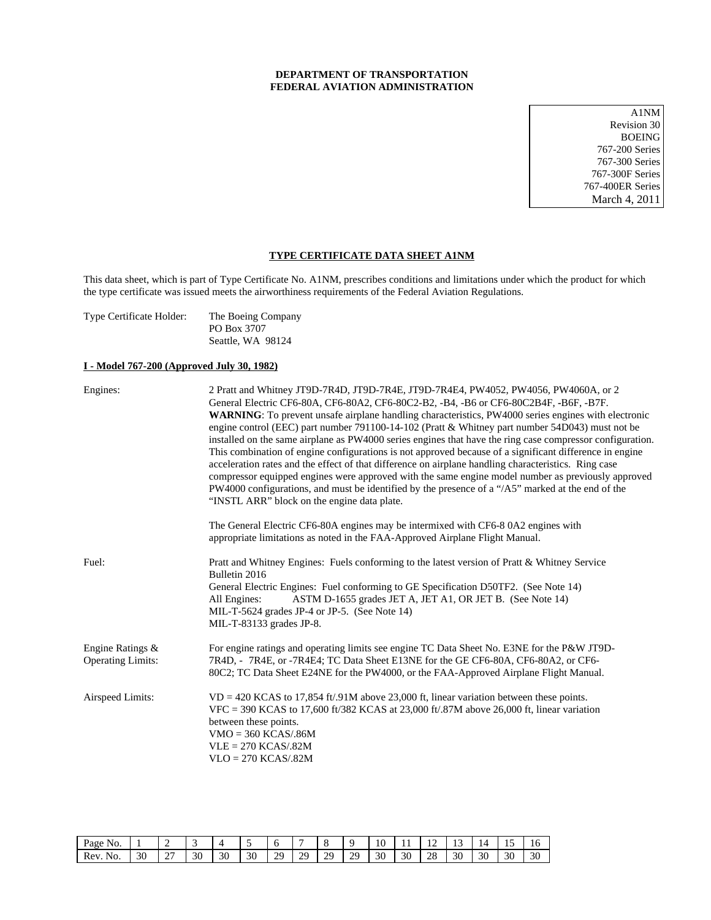## **DEPARTMENT OF TRANSPORTATION FEDERAL AVIATION ADMINISTRATION**

A1NM Revision 30 BOEING 767-200 Series 767-300 Series 767-300F Series 767-400ER Series March 4, 2011

## **TYPE CERTIFICATE DATA SHEET A1NM**

This data sheet, which is part of Type Certificate No. A1NM, prescribes conditions and limitations under which the product for which the type certificate was issued meets the airworthiness requirements of the Federal Aviation Regulations.

| Type Certificate Holder: | The Boeing Company |
|--------------------------|--------------------|
|                          | PO Box 3707        |
|                          | Seattle, WA 98124  |

## **I - Model 767-200 (Approved July 30, 1982)**

| Engines:                                     | 2 Pratt and Whitney JT9D-7R4D, JT9D-7R4E, JT9D-7R4E4, PW4052, PW4056, PW4060A, or 2<br>General Electric CF6-80A, CF6-80A2, CF6-80C2-B2, -B4, -B6 or CF6-80C2B4F, -B6F, -B7F.<br><b>WARNING</b> : To prevent unsafe airplane handling characteristics, PW4000 series engines with electronic<br>engine control (EEC) part number 791100-14-102 (Pratt & Whitney part number 54D043) must not be<br>installed on the same airplane as PW4000 series engines that have the ring case compressor configuration.<br>This combination of engine configurations is not approved because of a significant difference in engine<br>acceleration rates and the effect of that difference on airplane handling characteristics. Ring case<br>compressor equipped engines were approved with the same engine model number as previously approved<br>PW4000 configurations, and must be identified by the presence of a "/A5" marked at the end of the<br>"INSTL ARR" block on the engine data plate.<br>The General Electric CF6-80A engines may be intermixed with CF6-80A2 engines with<br>appropriate limitations as noted in the FAA-Approved Airplane Flight Manual. |
|----------------------------------------------|---------------------------------------------------------------------------------------------------------------------------------------------------------------------------------------------------------------------------------------------------------------------------------------------------------------------------------------------------------------------------------------------------------------------------------------------------------------------------------------------------------------------------------------------------------------------------------------------------------------------------------------------------------------------------------------------------------------------------------------------------------------------------------------------------------------------------------------------------------------------------------------------------------------------------------------------------------------------------------------------------------------------------------------------------------------------------------------------------------------------------------------------------------------|
| Fuel:                                        | Pratt and Whitney Engines: Fuels conforming to the latest version of Pratt & Whitney Service<br>Bulletin 2016<br>General Electric Engines: Fuel conforming to GE Specification D50TF2. (See Note 14)<br>ASTM D-1655 grades JET A, JET A1, OR JET B. (See Note 14)<br>All Engines:<br>MIL-T-5624 grades JP-4 or JP-5. (See Note 14)<br>MIL-T-83133 grades JP-8.                                                                                                                                                                                                                                                                                                                                                                                                                                                                                                                                                                                                                                                                                                                                                                                                |
| Engine Ratings &<br><b>Operating Limits:</b> | For engine ratings and operating limits see engine TC Data Sheet No. E3NE for the P&W JT9D-<br>7R4D, - 7R4E, or -7R4E4; TC Data Sheet E13NE for the GE CF6-80A, CF6-80A2, or CF6-<br>80C2; TC Data Sheet E24NE for the PW4000, or the FAA-Approved Airplane Flight Manual.                                                                                                                                                                                                                                                                                                                                                                                                                                                                                                                                                                                                                                                                                                                                                                                                                                                                                    |
| Airspeed Limits:                             | $VD = 420 KCAS$ to 17,854 ft/.91M above 23,000 ft, linear variation between these points.<br>VFC = 390 KCAS to 17,600 ft/382 KCAS at 23,000 ft/.87M above 26,000 ft, linear variation<br>between these points.<br>$VMO = 360 KCAS/0.86M$<br>$VLE = 270 KCAS/.82M$<br>$VLO = 270 KCAS/.82M$                                                                                                                                                                                                                                                                                                                                                                                                                                                                                                                                                                                                                                                                                                                                                                                                                                                                    |

| Page<br>NO. |    |                |    |    |    |           |           |         |           | $\sim$<br>10 | .  | . .      | …        |    | -<br> | 16 |
|-------------|----|----------------|----|----|----|-----------|-----------|---------|-----------|--------------|----|----------|----------|----|-------|----|
| Rev.<br>No. | 30 | $\sim$<br>، سه | 30 | 30 | 30 | າດ<br>ر ب | າດ<br>ر ب | າດ<br>- | 20<br>ر ب | 30           | 30 | no<br>20 | nn<br>эU | 30 | 30    | 30 |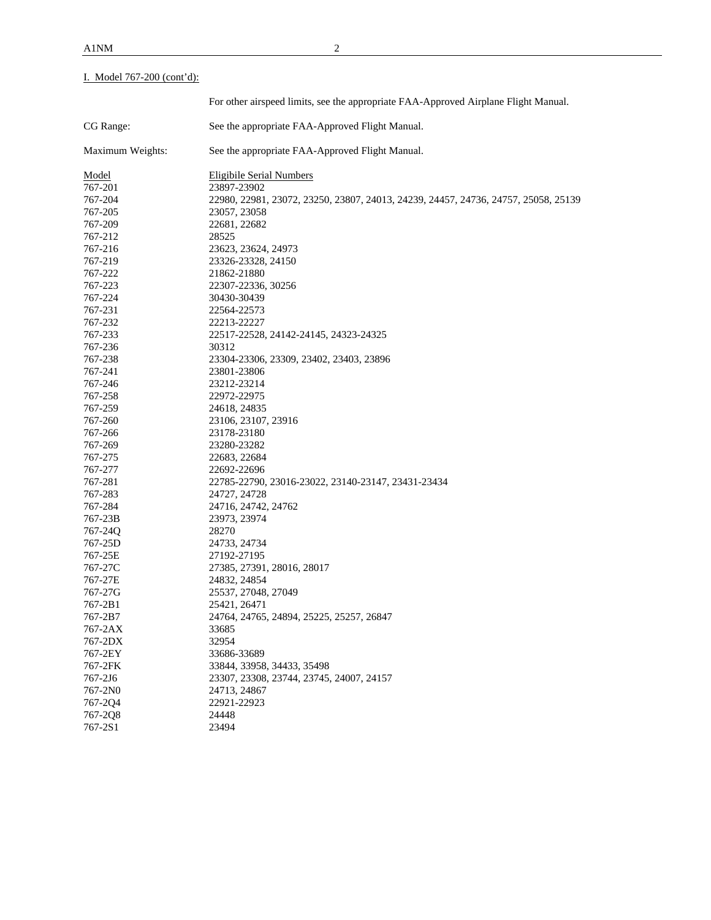# I. Model 767-200 (cont'd):

|                  | For other airspeed limits, see the appropriate FAA-Approved Airplane Flight Manual. |
|------------------|-------------------------------------------------------------------------------------|
| CG Range:        | See the appropriate FAA-Approved Flight Manual.                                     |
| Maximum Weights: | See the appropriate FAA-Approved Flight Manual.                                     |
| <u>Model</u>     | <b>Eligibile Serial Numbers</b>                                                     |
| 767-201          | 23897-23902                                                                         |
| 767-204          | 22980, 22981, 23072, 23250, 23807, 24013, 24239, 24457, 24736, 24757, 25058, 25139  |
| 767-205          | 23057, 23058                                                                        |
| 767-209          | 22681, 22682                                                                        |
| 767-212          | 28525                                                                               |
| 767-216          | 23623, 23624, 24973                                                                 |
| 767-219          | 23326-23328, 24150                                                                  |
| 767-222          | 21862-21880                                                                         |
| 767-223          | 22307-22336, 30256                                                                  |
| 767-224          | 30430-30439                                                                         |
| 767-231          | 22564-22573                                                                         |
| 767-232          | 22213-22227                                                                         |
| 767-233          | 22517-22528, 24142-24145, 24323-24325                                               |
| 767-236          | 30312                                                                               |
| 767-238          | 23304-23306, 23309, 23402, 23403, 23896                                             |
| 767-241          | 23801-23806                                                                         |
| 767-246          | 23212-23214                                                                         |
| 767-258          | 22972-22975                                                                         |
| 767-259          | 24618, 24835                                                                        |
| 767-260          | 23106, 23107, 23916                                                                 |
| 767-266          | 23178-23180                                                                         |
| 767-269          | 23280-23282                                                                         |
| 767-275          | 22683, 22684                                                                        |
| 767-277          | 22692-22696                                                                         |
| 767-281          | 22785-22790, 23016-23022, 23140-23147, 23431-23434                                  |
| 767-283          | 24727, 24728                                                                        |
| 767-284          | 24716, 24742, 24762                                                                 |
| 767-23B          | 23973, 23974                                                                        |
| 767-24Q          | 28270                                                                               |
| 767-25D          | 24733, 24734                                                                        |
| 767-25E          | 27192-27195                                                                         |
| 767-27C          | 27385, 27391, 28016, 28017                                                          |
| 767-27E          | 24832, 24854                                                                        |
| 767-27G          | 25537, 27048, 27049                                                                 |
| 767-2B1          | 25421, 26471                                                                        |
| 767-2B7          | 24764, 24765, 24894, 25225, 25257, 26847                                            |
| 767-2AX          | 33685                                                                               |
| 767-2DX          | 32954                                                                               |
| 767-2EY          | 33686-33689                                                                         |
| 767-2FK          | 33844, 33958, 34433, 35498                                                          |
| 767-2J6          | 23307, 23308, 23744, 23745, 24007, 24157                                            |
| 767-2N0          | 24713, 24867                                                                        |
| 767-2Q4          | 22921-22923                                                                         |
| 767-2Q8          | 24448                                                                               |
| 767-2S1          | 23494                                                                               |
|                  |                                                                                     |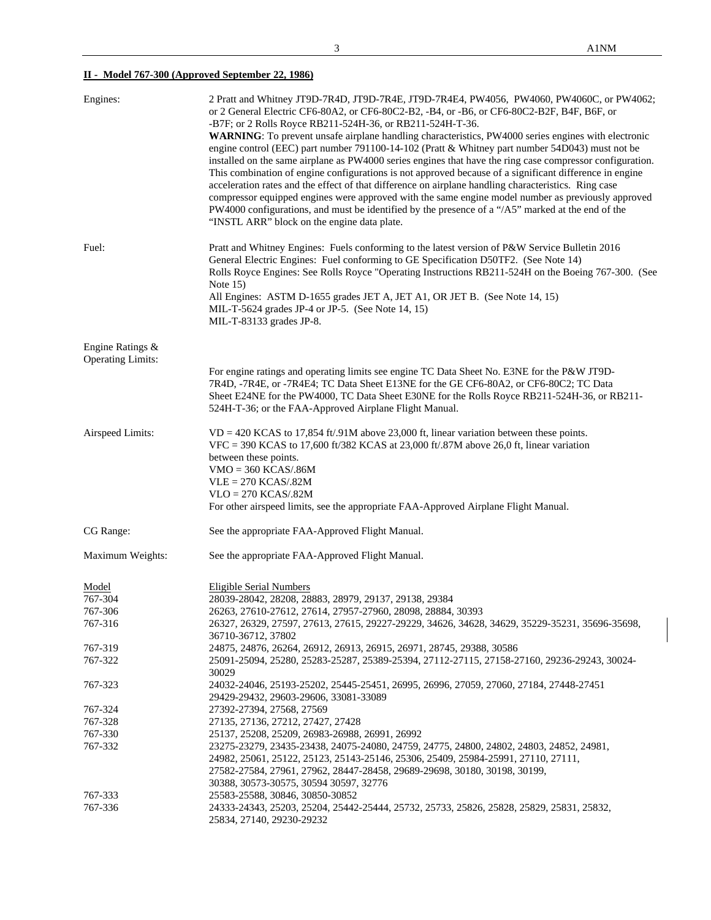## **II - Model 767-300 (Approved September 22, 1986)**

| Engines:                               | 2 Pratt and Whitney JT9D-7R4D, JT9D-7R4E, JT9D-7R4E4, PW4056, PW4060, PW4060C, or PW4062;<br>or 2 General Electric CF6-80A2, or CF6-80C2-B2, -B4, or -B6, or CF6-80C2-B2F, B4F, B6F, or<br>-B7F; or 2 Rolls Royce RB211-524H-36, or RB211-524H-T-36.<br>WARNING: To prevent unsafe airplane handling characteristics, PW4000 series engines with electronic<br>engine control (EEC) part number 791100-14-102 (Pratt & Whitney part number 54D043) must not be<br>installed on the same airplane as PW4000 series engines that have the ring case compressor configuration.<br>This combination of engine configurations is not approved because of a significant difference in engine<br>acceleration rates and the effect of that difference on airplane handling characteristics. Ring case<br>compressor equipped engines were approved with the same engine model number as previously approved<br>PW4000 configurations, and must be identified by the presence of a "/A5" marked at the end of the<br>"INSTL ARR" block on the engine data plate. |
|----------------------------------------|----------------------------------------------------------------------------------------------------------------------------------------------------------------------------------------------------------------------------------------------------------------------------------------------------------------------------------------------------------------------------------------------------------------------------------------------------------------------------------------------------------------------------------------------------------------------------------------------------------------------------------------------------------------------------------------------------------------------------------------------------------------------------------------------------------------------------------------------------------------------------------------------------------------------------------------------------------------------------------------------------------------------------------------------------------|
| Fuel:                                  | Pratt and Whitney Engines: Fuels conforming to the latest version of P&W Service Bulletin 2016<br>General Electric Engines: Fuel conforming to GE Specification D50TF2. (See Note 14)<br>Rolls Royce Engines: See Rolls Royce "Operating Instructions RB211-524H on the Boeing 767-300. (See<br>Note $15$ )<br>All Engines: ASTM D-1655 grades JET A, JET A1, OR JET B. (See Note 14, 15)<br>MIL-T-5624 grades JP-4 or JP-5. (See Note 14, 15)<br>MIL-T-83133 grades JP-8.                                                                                                                                                                                                                                                                                                                                                                                                                                                                                                                                                                               |
| Engine Ratings &                       |                                                                                                                                                                                                                                                                                                                                                                                                                                                                                                                                                                                                                                                                                                                                                                                                                                                                                                                                                                                                                                                          |
| <b>Operating Limits:</b>               | For engine ratings and operating limits see engine TC Data Sheet No. E3NE for the P&W JT9D-<br>7R4D, -7R4E, or -7R4E4; TC Data Sheet E13NE for the GE CF6-80A2, or CF6-80C2; TC Data<br>Sheet E24NE for the PW4000, TC Data Sheet E30NE for the Rolls Royce RB211-524H-36, or RB211-<br>524H-T-36; or the FAA-Approved Airplane Flight Manual.                                                                                                                                                                                                                                                                                                                                                                                                                                                                                                                                                                                                                                                                                                           |
| Airspeed Limits:                       | $VD = 420$ KCAS to 17,854 ft/.91M above 23,000 ft, linear variation between these points.<br>VFC = 390 KCAS to 17,600 ft/382 KCAS at 23,000 ft/.87M above 26,0 ft, linear variation<br>between these points.<br>$VMO = 360 KCAS/0.86M$<br>$VLE = 270 KCAS/.82M$<br>$VLO = 270 KCAS/0.82M$<br>For other airspeed limits, see the appropriate FAA-Approved Airplane Flight Manual.                                                                                                                                                                                                                                                                                                                                                                                                                                                                                                                                                                                                                                                                         |
| CG Range:                              | See the appropriate FAA-Approved Flight Manual.                                                                                                                                                                                                                                                                                                                                                                                                                                                                                                                                                                                                                                                                                                                                                                                                                                                                                                                                                                                                          |
| Maximum Weights:                       | See the appropriate FAA-Approved Flight Manual.                                                                                                                                                                                                                                                                                                                                                                                                                                                                                                                                                                                                                                                                                                                                                                                                                                                                                                                                                                                                          |
| Model<br>767-304<br>767-306<br>767-316 | <b>Eligible Serial Numbers</b><br>28039-28042, 28208, 28883, 28979, 29137, 29138, 29384<br>26263, 27610-27612, 27614, 27957-27960, 28098, 28884, 30393<br>26327, 26329, 27597, 27613, 27615, 29227-29229, 34626, 34628, 34629, 35229-35231, 35696-35698,<br>36710-36712, 37802                                                                                                                                                                                                                                                                                                                                                                                                                                                                                                                                                                                                                                                                                                                                                                           |
| 767-319                                | 24875, 24876, 26264, 26912, 26913, 26915, 26971, 28745, 29388, 30586                                                                                                                                                                                                                                                                                                                                                                                                                                                                                                                                                                                                                                                                                                                                                                                                                                                                                                                                                                                     |
| 767-322                                | 25091-25094, 25280, 25283-25287, 25389-25394, 27112-27115, 27158-27160, 29236-29243, 30024-<br>30029                                                                                                                                                                                                                                                                                                                                                                                                                                                                                                                                                                                                                                                                                                                                                                                                                                                                                                                                                     |
| 767-323                                | 24032-24046, 25193-25202, 25445-25451, 26995, 26996, 27059, 27060, 27184, 27448-27451<br>29429-29432, 29603-29606, 33081-33089                                                                                                                                                                                                                                                                                                                                                                                                                                                                                                                                                                                                                                                                                                                                                                                                                                                                                                                           |
| 767-324                                | 27392-27394, 27568, 27569                                                                                                                                                                                                                                                                                                                                                                                                                                                                                                                                                                                                                                                                                                                                                                                                                                                                                                                                                                                                                                |
| 767-328                                | 27135, 27136, 27212, 27427, 27428                                                                                                                                                                                                                                                                                                                                                                                                                                                                                                                                                                                                                                                                                                                                                                                                                                                                                                                                                                                                                        |
| 767-330                                | 25137, 25208, 25209, 26983-26988, 26991, 26992                                                                                                                                                                                                                                                                                                                                                                                                                                                                                                                                                                                                                                                                                                                                                                                                                                                                                                                                                                                                           |
| 767-332                                | 23275-23279, 23435-23438, 24075-24080, 24759, 24775, 24800, 24802, 24803, 24852, 24981,<br>24982, 25061, 25122, 25123, 25143-25146, 25306, 25409, 25984-25991, 27110, 27111,<br>27582-27584, 27961, 27962, 28447-28458, 29689-29698, 30180, 30198, 30199,<br>30388, 30573-30575, 30594 30597, 32776                                                                                                                                                                                                                                                                                                                                                                                                                                                                                                                                                                                                                                                                                                                                                      |
| 767-333                                | 25583-25588, 30846, 30850-30852                                                                                                                                                                                                                                                                                                                                                                                                                                                                                                                                                                                                                                                                                                                                                                                                                                                                                                                                                                                                                          |
| 767-336                                | 24333-24343, 25203, 25204, 25442-25444, 25732, 25733, 25826, 25828, 25829, 25831, 25832,<br>25834, 27140, 29230-29232                                                                                                                                                                                                                                                                                                                                                                                                                                                                                                                                                                                                                                                                                                                                                                                                                                                                                                                                    |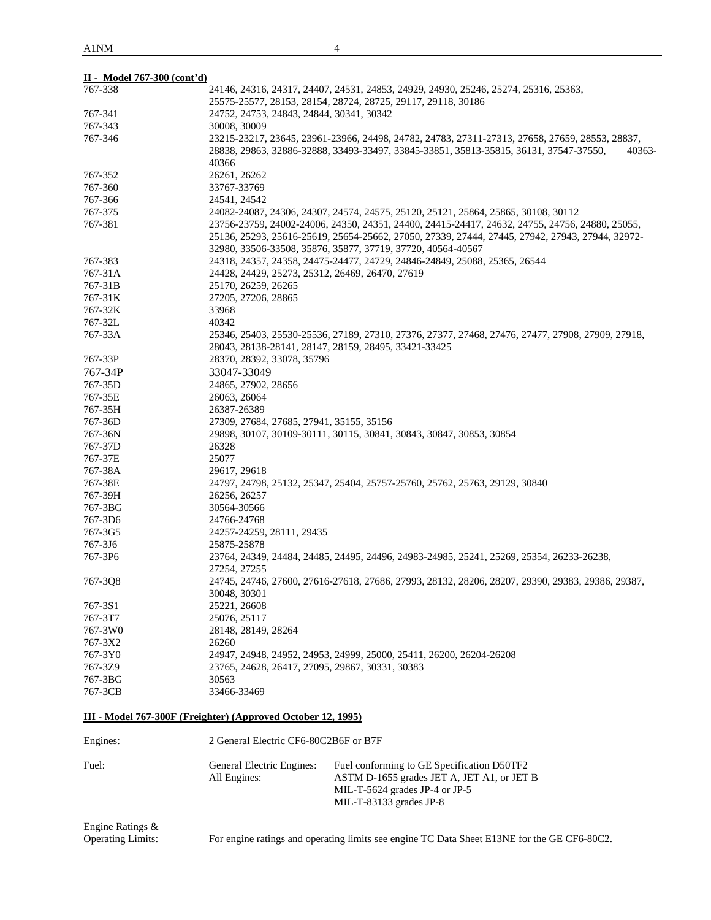| II - Model 767-300 (cont'd) |                                                                                                  |
|-----------------------------|--------------------------------------------------------------------------------------------------|
| 767-338                     | 24146, 24316, 24317, 24407, 24531, 24853, 24929, 24930, 25246, 25274, 25316, 25363,              |
|                             | 25575-25577, 28153, 28154, 28724, 28725, 29117, 29118, 30186                                     |
| 767-341                     | 24752, 24753, 24843, 24844, 30341, 30342                                                         |
| 767-343                     | 30008, 30009                                                                                     |
| 767-346                     | 23215-23217, 23645, 23961-23966, 24498, 24782, 24783, 27311-27313, 27658, 27659, 28553, 28837,   |
|                             | 28838, 29863, 32886-32888, 33493-33497, 33845-33851, 35813-35815, 36131, 37547-37550,<br>40363-  |
|                             | 40366                                                                                            |
| 767-352                     | 26261, 26262                                                                                     |
| 767-360                     | 33767-33769                                                                                      |
| 767-366                     | 24541, 24542                                                                                     |
| 767-375                     | 24082-24087, 24306, 24307, 24574, 24575, 25120, 25121, 25864, 25865, 30108, 30112                |
| 767-381                     | 23756-23759, 24002-24006, 24350, 24351, 24400, 24415-24417, 24632, 24755, 24756, 24880, 25055,   |
|                             | 25136, 25293, 25616-25619, 25654-25662, 27050, 27339, 27444, 27445, 27942, 27943, 27944, 32972-  |
|                             | 32980, 33506-33508, 35876, 35877, 37719, 37720, 40564-40567                                      |
| 767-383                     | 24318, 24357, 24358, 24475-24477, 24729, 24846-24849, 25088, 25365, 26544                        |
| 767-31A                     | 24428, 24429, 25273, 25312, 26469, 26470, 27619                                                  |
| 767-31B                     | 25170, 26259, 26265                                                                              |
| 767-31K                     | 27205, 27206, 28865                                                                              |
| 767-32K                     | 33968                                                                                            |
| 767-32L                     | 40342                                                                                            |
| 767-33A                     | 25346, 25403, 25530-25536, 27189, 27310, 27376, 27377, 27468, 27476, 27477, 27908, 27909, 27918, |
|                             | 28043, 28138-28141, 28147, 28159, 28495, 33421-33425                                             |
| 767-33P                     | 28370, 28392, 33078, 35796                                                                       |
| 767-34P                     | 33047-33049                                                                                      |
| 767-35D                     | 24865, 27902, 28656                                                                              |
| 767-35E                     | 26063, 26064                                                                                     |
| 767-35H                     | 26387-26389                                                                                      |
| 767-36D                     | 27309, 27684, 27685, 27941, 35155, 35156                                                         |
| 767-36N                     | 29898, 30107, 30109-30111, 30115, 30841, 30843, 30847, 30853, 30854                              |
| 767-37D                     | 26328                                                                                            |
| 767-37E                     | 25077                                                                                            |
| 767-38A                     | 29617, 29618                                                                                     |
| 767-38E                     | 24797, 24798, 25132, 25347, 25404, 25757-25760, 25762, 25763, 29129, 30840                       |
| 767-39H                     | 26256, 26257                                                                                     |
| 767-3BG                     | 30564-30566                                                                                      |
| 767-3D6                     | 24766-24768                                                                                      |
| 767-3G5                     | 24257-24259, 28111, 29435                                                                        |
| 767-3J6                     | 25875-25878                                                                                      |
| 767-3P6                     | 23764, 24349, 24484, 24485, 24495, 24496, 24983-24985, 25241, 25269, 25354, 26233-26238,         |
|                             | 27254, 27255                                                                                     |
| 767-3Q8                     | 24745, 24746, 27600, 27616-27618, 27686, 27993, 28132, 28206, 28207, 29390, 29383, 29386, 29387, |
|                             | 30048, 30301                                                                                     |
| 767-3S1                     | 25221, 26608                                                                                     |
| 767-3T7                     | 25076, 25117                                                                                     |
| 767-3W0                     | 28148, 28149, 28264                                                                              |
| 767-3X2                     | 26260                                                                                            |
| 767-3Y0                     | 24947, 24948, 24952, 24953, 24999, 25000, 25411, 26200, 26204-26208                              |
| 767-3Z9                     | 23765, 24628, 26417, 27095, 29867, 30331, 30383                                                  |
| 767-3BG                     | 30563                                                                                            |
| 767-3CB                     | 33466-33469                                                                                      |
|                             |                                                                                                  |
|                             | III - Model 767-300F (Freighter) (Approved October 12, 1995)                                     |

| Engines: | 2 General Electric CF6-80C2B6F or B7F     |                                                                                                                                                       |  |
|----------|-------------------------------------------|-------------------------------------------------------------------------------------------------------------------------------------------------------|--|
| Fuel:    | General Electric Engines:<br>All Engines: | Fuel conforming to GE Specification D50TF2<br>ASTM D-1655 grades JET A, JET A1, or JET B<br>MIL-T-5624 grades JP-4 or JP-5<br>MIL-T-83133 grades JP-8 |  |

Engine Ratings &

For engine ratings and operating limits see engine TC Data Sheet E13NE for the GE CF6-80C2.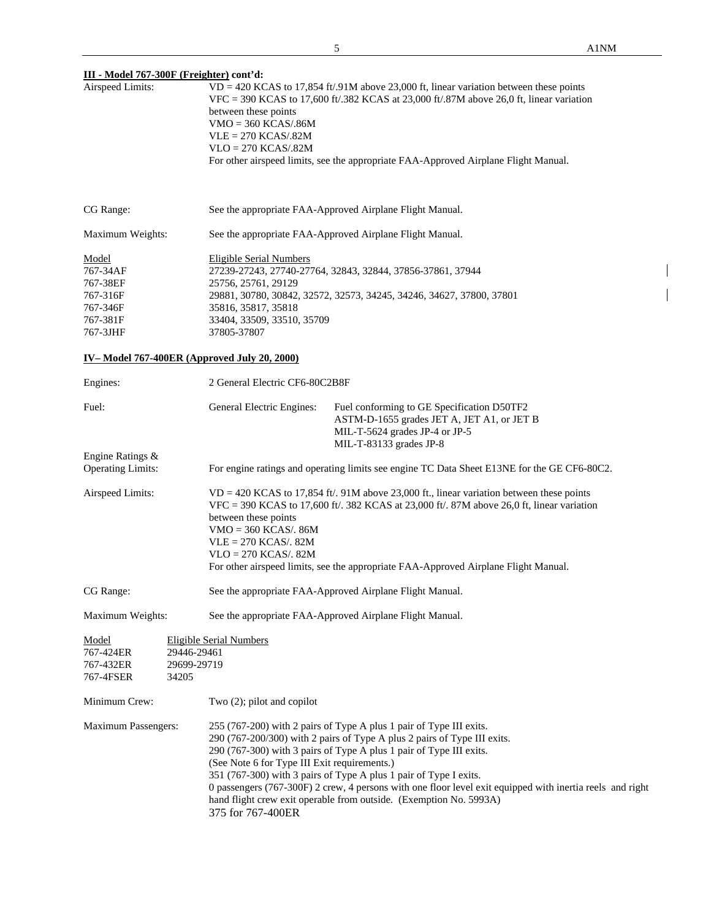# **III - Model 767-300F (Freighter) cont'd:**

| <u>111 - Model 707-5001 (Freighter)</u> com u.<br>Airspeed Limits:            | $VD = 420$ KCAS to 17,854 ft/.91M above 23,000 ft, linear variation between these points<br>VFC = 390 KCAS to 17,600 ft/.382 KCAS at 23,000 ft/.87M above 26,0 ft, linear variation<br>between these points<br>$VMO = 360 KCAS/.86M$<br>$VLE = 270 KCAS/0.82M$<br>$VLO = 270 KCAS/.82M$<br>For other airspeed limits, see the appropriate FAA-Approved Airplane Flight Manual.                                                                                                                                                                      |  |  |  |  |
|-------------------------------------------------------------------------------|-----------------------------------------------------------------------------------------------------------------------------------------------------------------------------------------------------------------------------------------------------------------------------------------------------------------------------------------------------------------------------------------------------------------------------------------------------------------------------------------------------------------------------------------------------|--|--|--|--|
| CG Range:                                                                     | See the appropriate FAA-Approved Airplane Flight Manual.                                                                                                                                                                                                                                                                                                                                                                                                                                                                                            |  |  |  |  |
| Maximum Weights:                                                              | See the appropriate FAA-Approved Airplane Flight Manual.                                                                                                                                                                                                                                                                                                                                                                                                                                                                                            |  |  |  |  |
| Model<br>767-34AF<br>767-38EF<br>767-316F<br>767-346F<br>767-381F<br>767-3JHF | <b>Eligible Serial Numbers</b><br>27239-27243, 27740-27764, 32843, 32844, 37856-37861, 37944<br>25756, 25761, 29129<br>29881, 30780, 30842, 32572, 32573, 34245, 34246, 34627, 37800, 37801<br>35816, 35817, 35818<br>33404, 33509, 33510, 35709<br>37805-37807                                                                                                                                                                                                                                                                                     |  |  |  |  |
|                                                                               | IV-Model 767-400ER (Approved July 20, 2000)                                                                                                                                                                                                                                                                                                                                                                                                                                                                                                         |  |  |  |  |
| Engines:                                                                      | 2 General Electric CF6-80C2B8F                                                                                                                                                                                                                                                                                                                                                                                                                                                                                                                      |  |  |  |  |
| Fuel:                                                                         | General Electric Engines:<br>Fuel conforming to GE Specification D50TF2<br>ASTM-D-1655 grades JET A, JET A1, or JET B<br>MIL-T-5624 grades JP-4 or JP-5<br>MIL-T-83133 grades JP-8                                                                                                                                                                                                                                                                                                                                                                  |  |  |  |  |
| Engine Ratings &<br><b>Operating Limits:</b>                                  | For engine ratings and operating limits see engine TC Data Sheet E13NE for the GE CF6-80C2.                                                                                                                                                                                                                                                                                                                                                                                                                                                         |  |  |  |  |
| Airspeed Limits:                                                              | $VD = 420$ KCAS to 17,854 ft/. 91M above 23,000 ft., linear variation between these points<br>VFC = 390 KCAS to 17,600 ft/. 382 KCAS at 23,000 ft/. 87M above 26,0 ft, linear variation<br>between these points<br>$VMO = 360$ KCAS/. 86M<br>$VLE = 270$ KCAS/. 82M<br>$VLO = 270 KCAS/32M$<br>For other airspeed limits, see the appropriate FAA-Approved Airplane Flight Manual.                                                                                                                                                                  |  |  |  |  |
| CG Range:                                                                     | See the appropriate FAA-Approved Airplane Flight Manual.                                                                                                                                                                                                                                                                                                                                                                                                                                                                                            |  |  |  |  |
| Maximum Weights:                                                              | See the appropriate FAA-Approved Airplane Flight Manual.                                                                                                                                                                                                                                                                                                                                                                                                                                                                                            |  |  |  |  |
| Model<br>767-424ER<br>767-432ER<br>767-4FSER                                  | <b>Eligible Serial Numbers</b><br>29446-29461<br>29699-29719<br>34205                                                                                                                                                                                                                                                                                                                                                                                                                                                                               |  |  |  |  |
| Minimum Crew:                                                                 | Two $(2)$ ; pilot and copilot                                                                                                                                                                                                                                                                                                                                                                                                                                                                                                                       |  |  |  |  |
| <b>Maximum Passengers:</b>                                                    | 255 (767-200) with 2 pairs of Type A plus 1 pair of Type III exits.<br>290 (767-200/300) with 2 pairs of Type A plus 2 pairs of Type III exits.<br>290 (767-300) with 3 pairs of Type A plus 1 pair of Type III exits.<br>(See Note 6 for Type III Exit requirements.)<br>351 (767-300) with 3 pairs of Type A plus 1 pair of Type I exits.<br>0 passengers (767-300F) 2 crew, 4 persons with one floor level exit equipped with inertia reels and right<br>hand flight crew exit operable from outside. (Exemption No. 5993A)<br>375 for 767-400ER |  |  |  |  |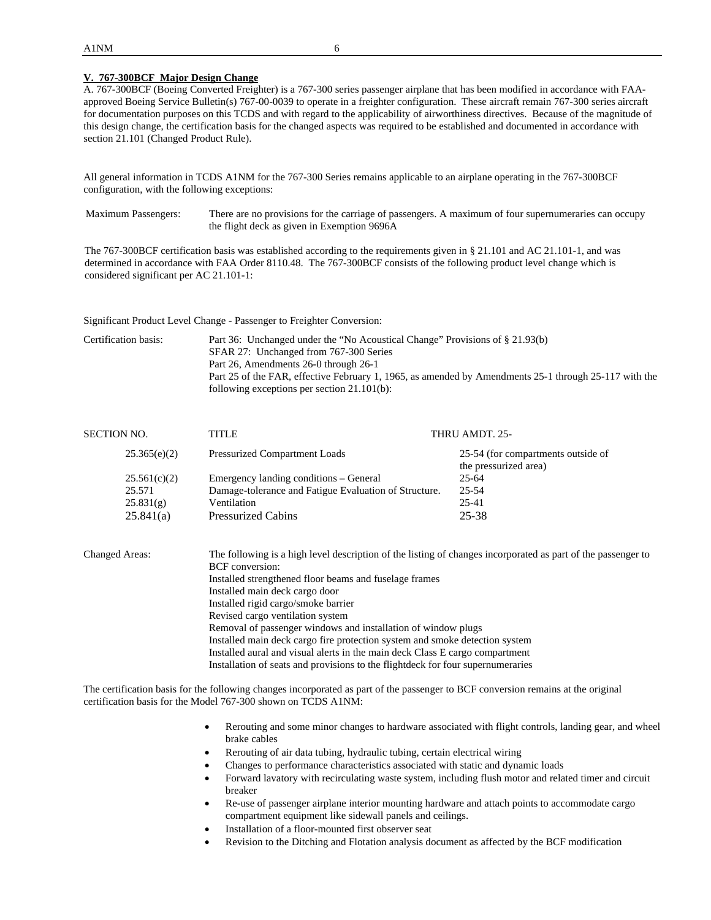#### **V. 767-300BCF Major Design Change**

A. 767-300BCF (Boeing Converted Freighter) is a 767-300 series passenger airplane that has been modified in accordance with FAAapproved Boeing Service Bulletin(s) 767-00-0039 to operate in a freighter configuration. These aircraft remain 767-300 series aircraft for documentation purposes on this TCDS and with regard to the applicability of airworthiness directives. Because of the magnitude of this design change, the certification basis for the changed aspects was required to be established and documented in accordance with section 21.101 (Changed Product Rule).

All general information in TCDS A1NM for the 767-300 Series remains applicable to an airplane operating in the 767-300BCF configuration, with the following exceptions:

Maximum Passengers: There are no provisions for the carriage of passengers. A maximum of four supernumeraries can occupy the flight deck as given in Exemption 9696A

The 767-300BCF certification basis was established according to the requirements given in § 21.101 and AC 21.101-1, and was determined in accordance with FAA Order 8110.48. The 767-300BCF consists of the following product level change which is considered significant per AC 21.101-1:

Significant Product Level Change - Passenger to Freighter Conversion:

Certification basis: Part 36: Unchanged under the "No Acoustical Change" Provisions of § 21.93(b) SFAR 27: Unchanged from 767-300 Series Part 26, Amendments 26-0 through 26-1 Part 25 of the FAR, effective February 1, 1965, as amended by Amendments 25-1 through 25-117 with the following exceptions per section 21.101(b):

| SECTION NO.  | TITLE                                                 | THRU AMDT. 25-                                              |
|--------------|-------------------------------------------------------|-------------------------------------------------------------|
| 25.365(e)(2) | <b>Pressurized Compartment Loads</b>                  | 25-54 (for compartments outside of<br>the pressurized area) |
| 25.561(c)(2) | Emergency landing conditions – General                | $25 - 64$                                                   |
| 25.571       | Damage-tolerance and Fatigue Evaluation of Structure. | 25-54                                                       |
| 25.831(g)    | Ventilation                                           | 25-41                                                       |
| 25.841(a)    | <b>Pressurized Cabins</b>                             | $25 - 38$                                                   |
|              |                                                       |                                                             |

Changed Areas: The following is a high level description of the listing of changes incorporated as part of the passenger to BCF conversion: Installed strengthened floor beams and fuselage frames Installed main deck cargo door Installed rigid cargo/smoke barrier Revised cargo ventilation system Removal of passenger windows and installation of window plugs Installed main deck cargo fire protection system and smoke detection system Installed aural and visual alerts in the main deck Class E cargo compartment Installation of seats and provisions to the flightdeck for four supernumeraries

The certification basis for the following changes incorporated as part of the passenger to BCF conversion remains at the original certification basis for the Model 767-300 shown on TCDS A1NM:

- Rerouting and some minor changes to hardware associated with flight controls, landing gear, and wheel brake cables
- Rerouting of air data tubing, hydraulic tubing, certain electrical wiring
- Changes to performance characteristics associated with static and dynamic loads
- Forward lavatory with recirculating waste system, including flush motor and related timer and circuit breaker
- Re-use of passenger airplane interior mounting hardware and attach points to accommodate cargo compartment equipment like sidewall panels and ceilings.
- Installation of a floor-mounted first observer seat
- Revision to the Ditching and Flotation analysis document as affected by the BCF modification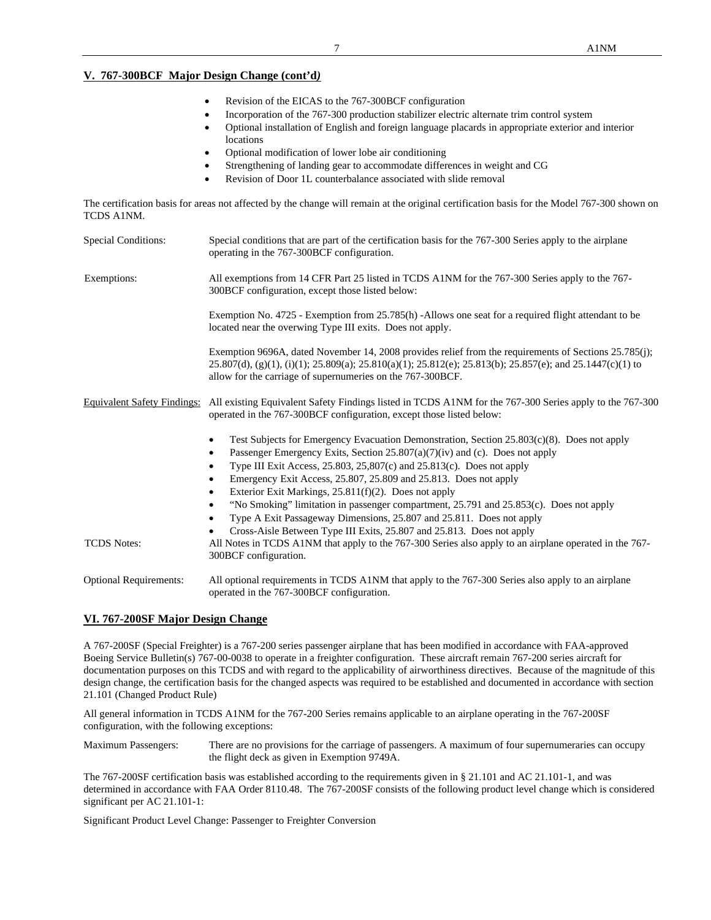# **V. 767-300BCF Major Design Change (cont'd***)*

- Revision of the EICAS to the 767-300BCF configuration
- Incorporation of the 767-300 production stabilizer electric alternate trim control system
- Optional installation of English and foreign language placards in appropriate exterior and interior locations
- Optional modification of lower lobe air conditioning
- Strengthening of landing gear to accommodate differences in weight and CG
- Revision of Door 1L counterbalance associated with slide removal

The certification basis for areas not affected by the change will remain at the original certification basis for the Model 767-300 shown on TCDS A1NM.

| <b>Special Conditions:</b>    | Special conditions that are part of the certification basis for the 767-300 Series apply to the airplane<br>operating in the 767-300BCF configuration.                                                                                                                                                                                                                                                                                                                                                                                                                                                                                 |
|-------------------------------|----------------------------------------------------------------------------------------------------------------------------------------------------------------------------------------------------------------------------------------------------------------------------------------------------------------------------------------------------------------------------------------------------------------------------------------------------------------------------------------------------------------------------------------------------------------------------------------------------------------------------------------|
| Exemptions:                   | All exemptions from 14 CFR Part 25 listed in TCDS A1NM for the 767-300 Series apply to the 767-<br>300BCF configuration, except those listed below:                                                                                                                                                                                                                                                                                                                                                                                                                                                                                    |
|                               | Exemption No. 4725 - Exemption from 25.785(h) -Allows one seat for a required flight attendant to be<br>located near the overwing Type III exits. Does not apply.                                                                                                                                                                                                                                                                                                                                                                                                                                                                      |
|                               | Exemption 9696A, dated November 14, 2008 provides relief from the requirements of Sections 25.785(j);<br>$25.807(d)$ , (g)(1), (i)(1); $25.809(a)$ ; $25.810(a)(1)$ ; $25.812(e)$ ; $25.813(b)$ ; $25.857(e)$ ; and $25.1447(c)(1)$ to<br>allow for the carriage of supernumeries on the 767-300BCF.                                                                                                                                                                                                                                                                                                                                   |
|                               | Equivalent Safety Findings: All existing Equivalent Safety Findings listed in TCDS A1NM for the 767-300 Series apply to the 767-300<br>operated in the 767-300 BCF configuration, except those listed below:                                                                                                                                                                                                                                                                                                                                                                                                                           |
|                               | Test Subjects for Emergency Evacuation Demonstration, Section $25.803(c)(8)$ . Does not apply<br>$\bullet$<br>Passenger Emergency Exits, Section 25.807(a)(7)(iv) and (c). Does not apply<br>٠<br>Type III Exit Access, 25.803, 25,807(c) and 25.813(c). Does not apply<br>$\bullet$<br>Emergency Exit Access, 25.807, 25.809 and 25.813. Does not apply<br>$\bullet$<br>Exterior Exit Markings, 25.811(f)(2). Does not apply<br>$\bullet$<br>"No Smoking" limitation in passenger compartment, 25.791 and 25.853(c). Does not apply<br>$\bullet$<br>Type A Exit Passageway Dimensions, 25.807 and 25.811. Does not apply<br>$\bullet$ |
| <b>TCDS</b> Notes:            | Cross-Aisle Between Type III Exits, 25.807 and 25.813. Does not apply<br>All Notes in TCDS A1NM that apply to the 767-300 Series also apply to an airplane operated in the 767-<br>300BCF configuration.                                                                                                                                                                                                                                                                                                                                                                                                                               |
| <b>Optional Requirements:</b> | All optional requirements in TCDS A1NM that apply to the 767-300 Series also apply to an airplane<br>operated in the 767-300 BCF configuration.                                                                                                                                                                                                                                                                                                                                                                                                                                                                                        |

### **VI. 767-200SF Major Design Change**

A 767-200SF (Special Freighter) is a 767-200 series passenger airplane that has been modified in accordance with FAA-approved Boeing Service Bulletin(s) 767-00-0038 to operate in a freighter configuration. These aircraft remain 767-200 series aircraft for documentation purposes on this TCDS and with regard to the applicability of airworthiness directives. Because of the magnitude of this design change, the certification basis for the changed aspects was required to be established and documented in accordance with section 21.101 (Changed Product Rule)

All general information in TCDS A1NM for the 767-200 Series remains applicable to an airplane operating in the 767-200SF configuration, with the following exceptions:

Maximum Passengers: There are no provisions for the carriage of passengers. A maximum of four supernumeraries can occupy the flight deck as given in Exemption 9749A.

The 767-200SF certification basis was established according to the requirements given in § 21.101 and AC 21.101-1, and was determined in accordance with FAA Order 8110.48. The 767-200SF consists of the following product level change which is considered significant per AC 21.101-1:

Significant Product Level Change: Passenger to Freighter Conversion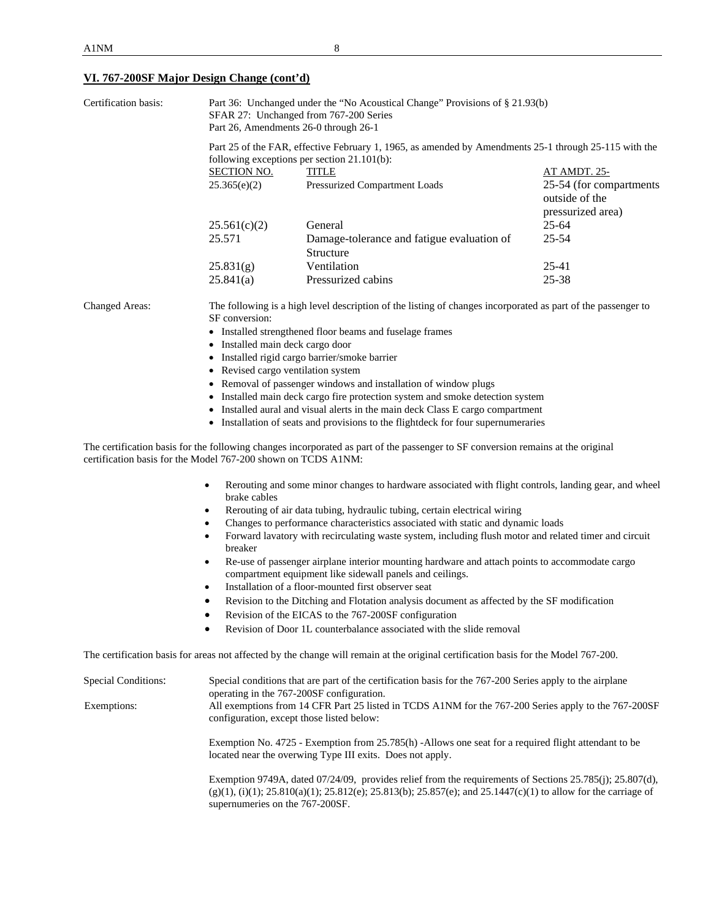# **VI. 767-200SF Major Design Change (cont'd)**

| Certification basis:                                          | Part 36: Unchanged under the "No Acoustical Change" Provisions of § 21.93(b)<br>SFAR 27: Unchanged from 767-200 Series<br>Part 26, Amendments 26-0 through 26-1                                                                                                 |                                                                                                                                                                          |                                           |  |  |  |  |  |
|---------------------------------------------------------------|-----------------------------------------------------------------------------------------------------------------------------------------------------------------------------------------------------------------------------------------------------------------|--------------------------------------------------------------------------------------------------------------------------------------------------------------------------|-------------------------------------------|--|--|--|--|--|
|                                                               | Part 25 of the FAR, effective February 1, 1965, as amended by Amendments 25-1 through 25-115 with the<br>following exceptions per section 21.101(b):                                                                                                            |                                                                                                                                                                          |                                           |  |  |  |  |  |
|                                                               | <b>SECTION NO.</b>                                                                                                                                                                                                                                              | <b>TITLE</b>                                                                                                                                                             | <u>AT AMDT. 25-</u>                       |  |  |  |  |  |
|                                                               | 25.365(e)(2)                                                                                                                                                                                                                                                    | Pressurized Compartment Loads                                                                                                                                            | 25-54 (for compartments<br>outside of the |  |  |  |  |  |
|                                                               |                                                                                                                                                                                                                                                                 |                                                                                                                                                                          | pressurized area)                         |  |  |  |  |  |
|                                                               | 25.561(c)(2)<br>25.571                                                                                                                                                                                                                                          | General<br>Damage-tolerance and fatigue evaluation of                                                                                                                    | $25 - 64$<br>$25 - 54$                    |  |  |  |  |  |
|                                                               |                                                                                                                                                                                                                                                                 | Structure                                                                                                                                                                |                                           |  |  |  |  |  |
|                                                               | 25.831(g)                                                                                                                                                                                                                                                       | Ventilation                                                                                                                                                              | 25-41                                     |  |  |  |  |  |
|                                                               | 25.841(a)                                                                                                                                                                                                                                                       | Pressurized cabins                                                                                                                                                       | 25-38                                     |  |  |  |  |  |
| <b>Changed Areas:</b>                                         | SF conversion:                                                                                                                                                                                                                                                  | The following is a high level description of the listing of changes incorporated as part of the passenger to<br>• Installed strengthened floor beams and fuselage frames |                                           |  |  |  |  |  |
|                                                               | • Installed main deck cargo door                                                                                                                                                                                                                                |                                                                                                                                                                          |                                           |  |  |  |  |  |
|                                                               |                                                                                                                                                                                                                                                                 | · Installed rigid cargo barrier/smoke barrier                                                                                                                            |                                           |  |  |  |  |  |
|                                                               | • Revised cargo ventilation system                                                                                                                                                                                                                              |                                                                                                                                                                          |                                           |  |  |  |  |  |
|                                                               |                                                                                                                                                                                                                                                                 | • Removal of passenger windows and installation of window plugs                                                                                                          |                                           |  |  |  |  |  |
|                                                               |                                                                                                                                                                                                                                                                 | • Installed main deck cargo fire protection system and smoke detection system                                                                                            |                                           |  |  |  |  |  |
|                                                               | • Installed aural and visual alerts in the main deck Class E cargo compartment                                                                                                                                                                                  |                                                                                                                                                                          |                                           |  |  |  |  |  |
|                                                               | • Installation of seats and provisions to the flightdeck for four supernumeraries                                                                                                                                                                               |                                                                                                                                                                          |                                           |  |  |  |  |  |
| certification basis for the Model 767-200 shown on TCDS A1NM: |                                                                                                                                                                                                                                                                 | The certification basis for the following changes incorporated as part of the passenger to SF conversion remains at the original                                         |                                           |  |  |  |  |  |
|                                                               | Rerouting and some minor changes to hardware associated with flight controls, landing gear, and wheel<br>$\bullet$<br>brake cables                                                                                                                              |                                                                                                                                                                          |                                           |  |  |  |  |  |
|                                                               | Rerouting of air data tubing, hydraulic tubing, certain electrical wiring<br>$\bullet$                                                                                                                                                                          |                                                                                                                                                                          |                                           |  |  |  |  |  |
|                                                               | Changes to performance characteristics associated with static and dynamic loads<br>$\bullet$                                                                                                                                                                    |                                                                                                                                                                          |                                           |  |  |  |  |  |
|                                                               | Forward lavatory with recirculating waste system, including flush motor and related timer and circuit<br>$\bullet$<br>breaker                                                                                                                                   |                                                                                                                                                                          |                                           |  |  |  |  |  |
|                                                               | Re-use of passenger airplane interior mounting hardware and attach points to accommodate cargo<br>$\bullet$                                                                                                                                                     |                                                                                                                                                                          |                                           |  |  |  |  |  |
|                                                               | compartment equipment like sidewall panels and ceilings.<br>Installation of a floor-mounted first observer seat<br>$\bullet$                                                                                                                                    |                                                                                                                                                                          |                                           |  |  |  |  |  |
|                                                               | Revision to the Ditching and Flotation analysis document as affected by the SF modification                                                                                                                                                                     |                                                                                                                                                                          |                                           |  |  |  |  |  |
|                                                               | Revision of the EICAS to the 767-200SF configuration                                                                                                                                                                                                            |                                                                                                                                                                          |                                           |  |  |  |  |  |
|                                                               | Revision of Door 1L counterbalance associated with the slide removal                                                                                                                                                                                            |                                                                                                                                                                          |                                           |  |  |  |  |  |
|                                                               |                                                                                                                                                                                                                                                                 | The certification basis for areas not affected by the change will remain at the original certification basis for the Model 767-200.                                      |                                           |  |  |  |  |  |
| <b>Special Conditions:</b>                                    | Special conditions that are part of the certification basis for the 767-200 Series apply to the airplane                                                                                                                                                        |                                                                                                                                                                          |                                           |  |  |  |  |  |
| Exemptions:                                                   | operating in the 767-200SF configuration.<br>All exemptions from 14 CFR Part 25 listed in TCDS A1NM for the 767-200 Series apply to the 767-200SF<br>configuration, except those listed below:                                                                  |                                                                                                                                                                          |                                           |  |  |  |  |  |
|                                                               | Exemption No. 4725 - Exemption from 25.785(h) -Allows one seat for a required flight attendant to be<br>located near the overwing Type III exits. Does not apply.                                                                                               |                                                                                                                                                                          |                                           |  |  |  |  |  |
|                                                               | Exemption 9749A, dated 07/24/09, provides relief from the requirements of Sections 25.785(j); 25.807(d),<br>$(g)(1)$ , (i)(1); 25.810(a)(1); 25.812(e); 25.813(b); 25.857(e); and 25.1447(c)(1) to allow for the carriage of<br>supernumeries on the 767-200SF. |                                                                                                                                                                          |                                           |  |  |  |  |  |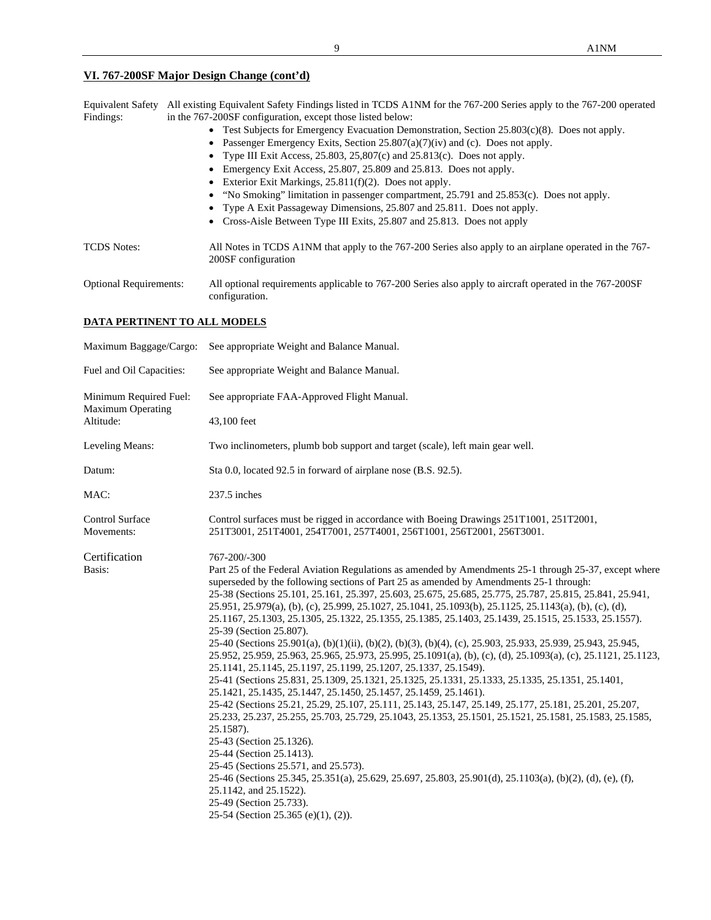# **VI. 767-200SF Major Design Change (cont'd)**

| <b>Equivalent Safety</b><br>Findings: | All existing Equivalent Safety Findings listed in TCDS A1NM for the 767-200 Series apply to the 767-200 operated<br>in the 767-200SF configuration, except those listed below:<br>• Test Subjects for Emergency Evacuation Demonstration, Section $25.803(c)(8)$ . Does not apply.<br>Passenger Emergency Exits, Section $25.807(a)(7)(iv)$ and (c). Does not apply.<br>$\bullet$<br>• Type III Exit Access, 25.803, 25,807(c) and 25.813(c). Does not apply.<br>Emergency Exit Access, 25.807, 25.809 and 25.813. Does not apply.<br>Exterior Exit Markings, $25.811(f)(2)$ . Does not apply.<br>٠<br>• "No Smoking" limitation in passenger compartment, 25.791 and 25.853(c). Does not apply.<br>• Type A Exit Passageway Dimensions, 25.807 and 25.811. Does not apply.<br>Cross-Aisle Between Type III Exits, 25.807 and 25.813. Does not apply |
|---------------------------------------|------------------------------------------------------------------------------------------------------------------------------------------------------------------------------------------------------------------------------------------------------------------------------------------------------------------------------------------------------------------------------------------------------------------------------------------------------------------------------------------------------------------------------------------------------------------------------------------------------------------------------------------------------------------------------------------------------------------------------------------------------------------------------------------------------------------------------------------------------|
| <b>TCDS</b> Notes:                    | All Notes in TCDS A1NM that apply to the 767-200 Series also apply to an airplane operated in the 767-<br>200SF configuration                                                                                                                                                                                                                                                                                                                                                                                                                                                                                                                                                                                                                                                                                                                        |
| <b>Optional Requirements:</b>         | All optional requirements applicable to 767-200 Series also apply to aircraft operated in the 767-200SF<br>configuration.                                                                                                                                                                                                                                                                                                                                                                                                                                                                                                                                                                                                                                                                                                                            |

## **DATA PERTINENT TO ALL MODELS**

| Maximum Baggage/Cargo:                             | See appropriate Weight and Balance Manual.                                                                                                                                                                                                                                                                                                                                                                                                                                                                                                                                                                                                                                                                                                                                                                                                                                                                                                                                                                                                                                                                                                                                                                                                                                                                                                                                                                                                                                                                                                                              |  |  |
|----------------------------------------------------|-------------------------------------------------------------------------------------------------------------------------------------------------------------------------------------------------------------------------------------------------------------------------------------------------------------------------------------------------------------------------------------------------------------------------------------------------------------------------------------------------------------------------------------------------------------------------------------------------------------------------------------------------------------------------------------------------------------------------------------------------------------------------------------------------------------------------------------------------------------------------------------------------------------------------------------------------------------------------------------------------------------------------------------------------------------------------------------------------------------------------------------------------------------------------------------------------------------------------------------------------------------------------------------------------------------------------------------------------------------------------------------------------------------------------------------------------------------------------------------------------------------------------------------------------------------------------|--|--|
| Fuel and Oil Capacities:                           | See appropriate Weight and Balance Manual.                                                                                                                                                                                                                                                                                                                                                                                                                                                                                                                                                                                                                                                                                                                                                                                                                                                                                                                                                                                                                                                                                                                                                                                                                                                                                                                                                                                                                                                                                                                              |  |  |
| Minimum Required Fuel:<br><b>Maximum Operating</b> | See appropriate FAA-Approved Flight Manual.                                                                                                                                                                                                                                                                                                                                                                                                                                                                                                                                                                                                                                                                                                                                                                                                                                                                                                                                                                                                                                                                                                                                                                                                                                                                                                                                                                                                                                                                                                                             |  |  |
| Altitude:                                          | 43,100 feet                                                                                                                                                                                                                                                                                                                                                                                                                                                                                                                                                                                                                                                                                                                                                                                                                                                                                                                                                                                                                                                                                                                                                                                                                                                                                                                                                                                                                                                                                                                                                             |  |  |
| Leveling Means:                                    | Two inclinometers, plumb bob support and target (scale), left main gear well.                                                                                                                                                                                                                                                                                                                                                                                                                                                                                                                                                                                                                                                                                                                                                                                                                                                                                                                                                                                                                                                                                                                                                                                                                                                                                                                                                                                                                                                                                           |  |  |
| Datum:                                             | Sta 0.0, located 92.5 in forward of airplane nose (B.S. 92.5).                                                                                                                                                                                                                                                                                                                                                                                                                                                                                                                                                                                                                                                                                                                                                                                                                                                                                                                                                                                                                                                                                                                                                                                                                                                                                                                                                                                                                                                                                                          |  |  |
| MAC:                                               | 237.5 inches                                                                                                                                                                                                                                                                                                                                                                                                                                                                                                                                                                                                                                                                                                                                                                                                                                                                                                                                                                                                                                                                                                                                                                                                                                                                                                                                                                                                                                                                                                                                                            |  |  |
| Control Surface<br>Movements:                      | Control surfaces must be rigged in accordance with Boeing Drawings 251T1001, 251T2001,<br>251T3001, 251T4001, 254T7001, 257T4001, 256T1001, 256T2001, 256T3001.                                                                                                                                                                                                                                                                                                                                                                                                                                                                                                                                                                                                                                                                                                                                                                                                                                                                                                                                                                                                                                                                                                                                                                                                                                                                                                                                                                                                         |  |  |
| Certification                                      | 767-200/-300                                                                                                                                                                                                                                                                                                                                                                                                                                                                                                                                                                                                                                                                                                                                                                                                                                                                                                                                                                                                                                                                                                                                                                                                                                                                                                                                                                                                                                                                                                                                                            |  |  |
| Basis:                                             | Part 25 of the Federal Aviation Regulations as amended by Amendments 25-1 through 25-37, except where<br>superseded by the following sections of Part 25 as amended by Amendments 25-1 through:<br>25-38 (Sections 25.101, 25.161, 25.397, 25.603, 25.675, 25.685, 25.775, 25.787, 25.815, 25.841, 25.941,<br>25.951, 25.979(a), (b), (c), 25.999, 25.1027, 25.1041, 25.1093(b), 25.1125, 25.1143(a), (b), (c), (d),<br>25.1167, 25.1303, 25.1305, 25.1322, 25.1355, 25.1385, 25.1403, 25.1439, 25.1515, 25.1533, 25.1557).<br>25-39 (Section 25.807).<br>25-40 (Sections 25.901(a), (b)(1)(ii), (b)(2), (b)(3), (b)(4), (c), 25.903, 25.933, 25.939, 25.943, 25.945,<br>25.952, 25.959, 25.963, 25.965, 25.973, 25.995, 25.1091(a), (b), (c), (d), 25.1093(a), (c), 25.1121, 25.1123,<br>25.1141, 25.1145, 25.1197, 25.1199, 25.1207, 25.1337, 25.1549).<br>25-41 (Sections 25.831, 25.1309, 25.1321, 25.1325, 25.1331, 25.1333, 25.1335, 25.1351, 25.1401,<br>25.1421, 25.1435, 25.1447, 25.1450, 25.1457, 25.1459, 25.1461).<br>25-42 (Sections 25.21, 25.29, 25.107, 25.111, 25.143, 25.147, 25.149, 25.177, 25.181, 25.201, 25.207,<br>25.233, 25.237, 25.255, 25.703, 25.729, 25.1043, 25.1353, 25.1501, 25.1521, 25.1581, 25.1583, 25.1585,<br>25.1587).<br>25-43 (Section 25.1326).<br>25-44 (Section 25.1413).<br>25-45 (Sections 25.571, and 25.573).<br>25-46 (Sections 25.345, 25.351(a), 25.629, 25.697, 25.803, 25.901(d), 25.1103(a), (b)(2), (d), (e), (f),<br>25.1142, and 25.1522).<br>25-49 (Section 25.733).<br>25-54 (Section 25.365 (e)(1), (2)). |  |  |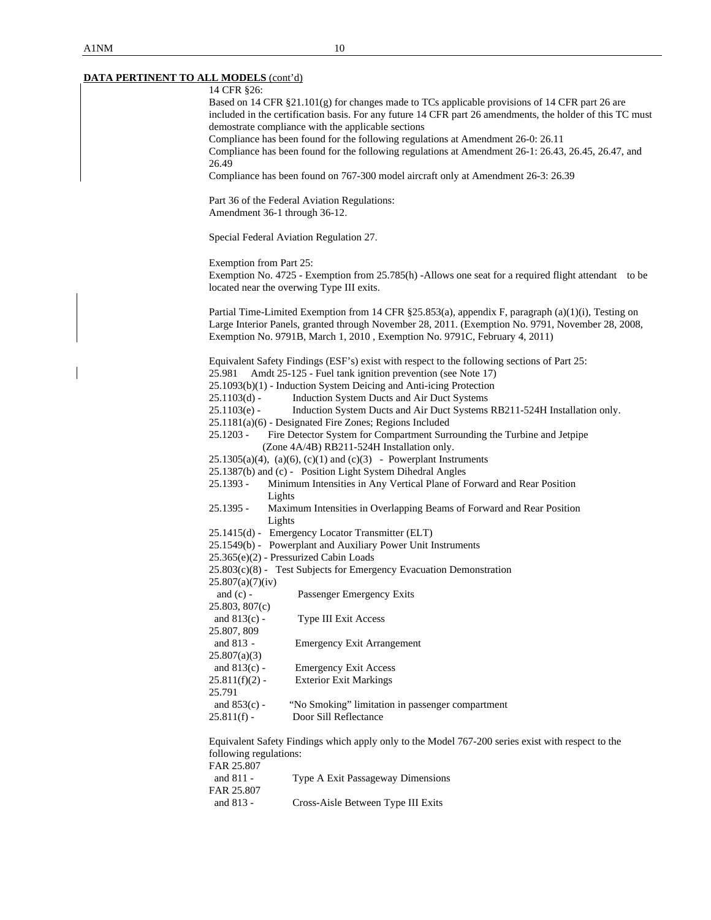$\overline{\phantom{a}}$ 

# **DATA PERTINENT TO ALL MODELS** (cont'd)

| $\sim$ 100 $\sim$ 100 $\sim$ 1<br>14 CFR §26: |                                                                                                                                                                                 |
|-----------------------------------------------|---------------------------------------------------------------------------------------------------------------------------------------------------------------------------------|
|                                               | Based on 14 CFR §21.101(g) for changes made to TCs applicable provisions of 14 CFR part 26 are                                                                                  |
|                                               | included in the certification basis. For any future 14 CFR part 26 amendments, the holder of this TC must                                                                       |
|                                               | demostrate compliance with the applicable sections                                                                                                                              |
|                                               | Compliance has been found for the following regulations at Amendment 26-0: 26.11                                                                                                |
|                                               | Compliance has been found for the following regulations at Amendment 26-1: 26.43, 26.45, 26.47, and                                                                             |
| 26.49                                         | Compliance has been found on 767-300 model aircraft only at Amendment 26-3: 26.39                                                                                               |
|                                               | Part 36 of the Federal Aviation Regulations:                                                                                                                                    |
| Amendment 36-1 through 36-12.                 |                                                                                                                                                                                 |
|                                               | Special Federal Aviation Regulation 27.                                                                                                                                         |
| Exemption from Part 25:                       |                                                                                                                                                                                 |
|                                               | Exemption No. 4725 - Exemption from 25.785(h) -Allows one seat for a required flight attendant to be                                                                            |
|                                               | located near the overwing Type III exits.                                                                                                                                       |
|                                               | Partial Time-Limited Exemption from 14 CFR §25.853(a), appendix F, paragraph (a)(1)(i), Testing on                                                                              |
|                                               | Large Interior Panels, granted through November 28, 2011. (Exemption No. 9791, November 28, 2008,<br>Exemption No. 9791B, March 1, 2010, Exemption No. 9791C, February 4, 2011) |
|                                               | Equivalent Safety Findings (ESF's) exist with respect to the following sections of Part 25:                                                                                     |
| 25.981                                        | Amdt 25-125 - Fuel tank ignition prevention (see Note 17)                                                                                                                       |
|                                               | 25.1093(b)(1) - Induction System Deicing and Anti-icing Protection                                                                                                              |
| $25.1103(d)$ -                                | Induction System Ducts and Air Duct Systems                                                                                                                                     |
| $25.1103(e)$ -                                | Induction System Ducts and Air Duct Systems RB211-524H Installation only.                                                                                                       |
|                                               | 25.1181(a)(6) - Designated Fire Zones; Regions Included                                                                                                                         |
| $25.1203 -$                                   | Fire Detector System for Compartment Surrounding the Turbine and Jetpipe<br>(Zone 4A/4B) RB211-524H Installation only.                                                          |
|                                               | $25.1305(a)(4)$ , (a)(6), (c)(1) and (c)(3) - Powerplant Instruments                                                                                                            |
|                                               | 25.1387(b) and (c) - Position Light System Dihedral Angles                                                                                                                      |
| $25.1393 -$<br>Lights                         | Minimum Intensities in Any Vertical Plane of Forward and Rear Position                                                                                                          |
| $25.1395 -$<br>Lights                         | Maximum Intensities in Overlapping Beams of Forward and Rear Position                                                                                                           |
|                                               | 25.1415(d) - Emergency Locator Transmitter (ELT)                                                                                                                                |
|                                               | 25.1549(b) - Powerplant and Auxiliary Power Unit Instruments                                                                                                                    |
|                                               | 25.365(e)(2) - Pressurized Cabin Loads                                                                                                                                          |
|                                               | $25.803(c)(8)$ - Test Subjects for Emergency Evacuation Demonstration                                                                                                           |
| 25.807(a)(7)(iv)                              |                                                                                                                                                                                 |
| and $(c)$ -<br>25.803, 807(c)                 | Passenger Emergency Exits                                                                                                                                                       |
| and $813(c)$ -                                | Type III Exit Access                                                                                                                                                            |
| 25.807, 809                                   |                                                                                                                                                                                 |
| and 813 -                                     | <b>Emergency Exit Arrangement</b>                                                                                                                                               |
| 25.807(a)(3)                                  |                                                                                                                                                                                 |
| and $813(c)$ -                                | <b>Emergency Exit Access</b>                                                                                                                                                    |
| $25.811(f)(2)$ -                              | <b>Exterior Exit Markings</b>                                                                                                                                                   |
| 25.791                                        |                                                                                                                                                                                 |
| and $853(c)$ -                                | "No Smoking" limitation in passenger compartment                                                                                                                                |
| $25.811(f)$ -                                 | Door Sill Reflectance                                                                                                                                                           |
|                                               | Equivalent Safety Findings which apply only to the Model 767-200 series exist with respect to the                                                                               |
| following regulations:                        |                                                                                                                                                                                 |
| FAR 25.807                                    |                                                                                                                                                                                 |
| and 811 -<br>FAR 25.807                       | Type A Exit Passageway Dimensions                                                                                                                                               |
| and 813 -                                     | Cross-Aisle Between Type III Exits                                                                                                                                              |
|                                               |                                                                                                                                                                                 |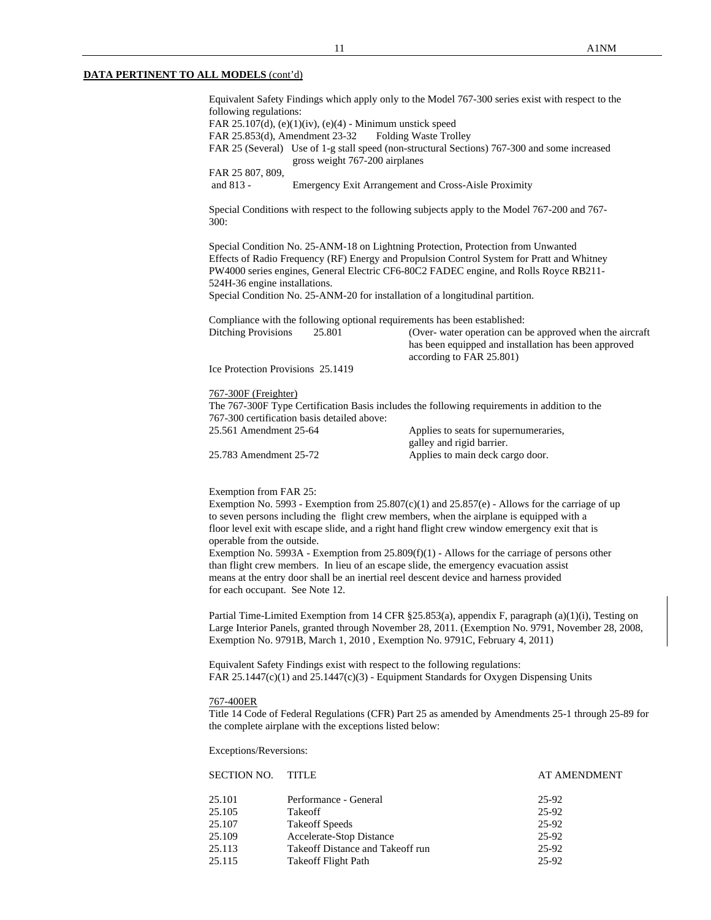Equivalent Safety Findings which apply only to the Model 767-300 series exist with respect to the following regulations: FAR 25.107(d),  $(e)(1)(iv)$ ,  $(e)(4)$  - Minimum unstick speed FAR 25.853(d), Amendment 23-32 Folding Waste Trolley FAR 25 (Several) Use of 1-g stall speed (non-structural Sections) 767-300 and some increased gross weight 767-200 airplanes FAR 25 807, 809, and 813 - Emergency Exit Arrangement and Cross-Aisle Proximity Special Conditions with respect to the following subjects apply to the Model 767-200 and 767- 300: Special Condition No. 25-ANM-18 on Lightning Protection, Protection from Unwanted Effects of Radio Frequency (RF) Energy and Propulsion Control System for Pratt and Whitney PW4000 series engines, General Electric CF6-80C2 FADEC engine, and Rolls Royce RB211- 524H-36 engine installations. Special Condition No. 25-ANM-20 for installation of a longitudinal partition. Compliance with the following optional requirements has been established: Ditching Provisions 25.801 (Over- water operation can be approved when the aircraft has been equipped and installation has been approved according to FAR 25.801) Ice Protection Provisions 25.1419 767-300F (Freighter) The 767-300F Type Certification Basis includes the following requirements in addition to the 767-300 certification basis detailed above: 25.561 Amendment 25-64 Applies to seats for supernumeraries, galley and rigid barrier. 25.783 Amendment 25-72 Applies to main deck cargo door. Exemption from FAR 25: Exemption No. 5993 - Exemption from  $25.807(c)(1)$  and  $25.857(e)$  - Allows for the carriage of up to seven persons including the flight crew members, when the airplane is equipped with a floor level exit with escape slide, and a right hand flight crew window emergency exit that is operable from the outside. Exemption No. 5993A - Exemption from  $25.809(f)(1)$  - Allows for the carriage of persons other than flight crew members. In lieu of an escape slide, the emergency evacuation assist means at the entry door shall be an inertial reel descent device and harness provided for each occupant. See Note 12.

Partial Time-Limited Exemption from 14 CFR §25.853(a), appendix F, paragraph (a)(1)(i), Testing on Large Interior Panels, granted through November 28, 2011. (Exemption No. 9791, November 28, 2008, Exemption No. 9791B, March 1, 2010 , Exemption No. 9791C, February 4, 2011)

 Equivalent Safety Findings exist with respect to the following regulations: FAR 25.1447(c)(1) and 25.1447(c)(3) - Equipment Standards for Oxygen Dispensing Units

#### 767-400ER

Title 14 Code of Federal Regulations (CFR) Part 25 as amended by Amendments 25-1 through 25-89 for the complete airplane with the exceptions listed below:

Exceptions/Reversions:

|        | SECTION NO.<br>TITLE             | <b>AT AMENDMENT</b> |
|--------|----------------------------------|---------------------|
| 25.101 | Performance - General            | 25-92               |
| 25.105 | Takeoff                          | 25-92               |
| 25.107 | <b>Takeoff Speeds</b>            | 25-92               |
| 25.109 | Accelerate-Stop Distance         | 25-92               |
| 25.113 | Takeoff Distance and Takeoff run | 25-92               |
| 25.115 | Take of Flight Path              | 25-92               |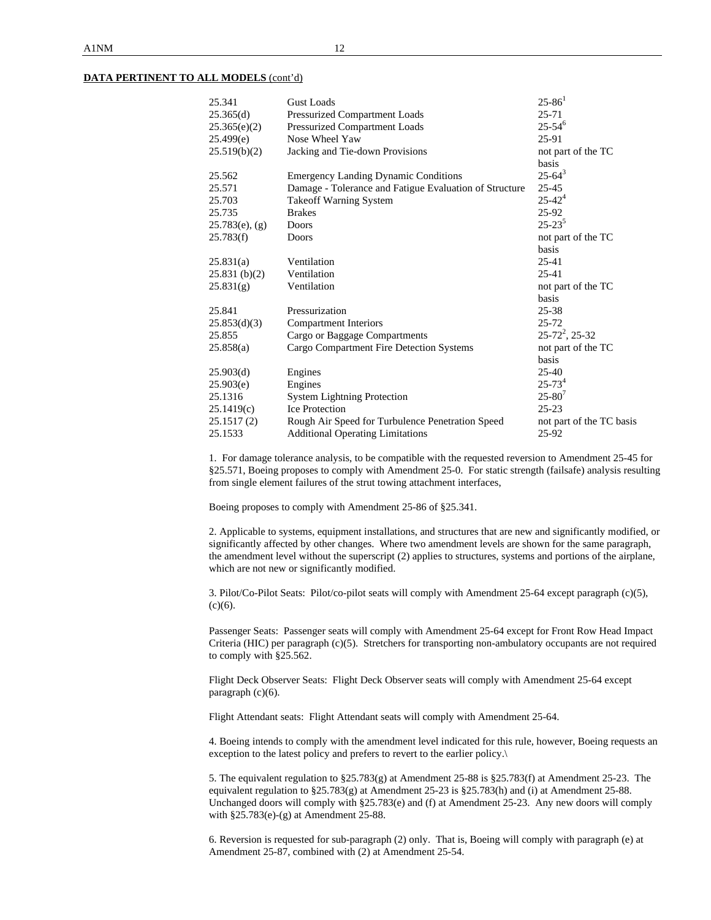| 25.341            | <b>Gust Loads</b>                                      | $25 - 86^1$              |
|-------------------|--------------------------------------------------------|--------------------------|
| 25.365(d)         | Pressurized Compartment Loads                          | $25 - 71$                |
| 25.365(e)(2)      | Pressurized Compartment Loads                          | $25 - 54^{6}$            |
| 25.499(e)         | Nose Wheel Yaw                                         | 25-91                    |
| 25.519(b)(2)      | Jacking and Tie-down Provisions                        | not part of the TC       |
|                   |                                                        | basis                    |
| 25.562            | <b>Emergency Landing Dynamic Conditions</b>            | $25 - 64^3$              |
| 25.571            | Damage - Tolerance and Fatigue Evaluation of Structure | 25-45                    |
| 25.703            | Takeoff Warning System                                 | $25 - 42^{4}$            |
| 25.735            | <b>Brakes</b>                                          | 25-92                    |
| $25.783(e)$ , (g) | Doors                                                  | $25 - 23^{5}$            |
| 25.783(f)         | Doors                                                  | not part of the TC       |
|                   |                                                        | <b>basis</b>             |
| 25.831(a)         | Ventilation                                            | 25-41                    |
| 25.831(b)(2)      | Ventilation                                            | $25 - 41$                |
| 25.831(g)         | Ventilation                                            | not part of the TC       |
|                   |                                                        | basis                    |
| 25.841            | Pressurization                                         | $25 - 38$                |
| 25.853(d)(3)      | <b>Compartment Interiors</b>                           | $25 - 72$                |
| 25.855            | Cargo or Baggage Compartments                          | $25 - 72^2$ , 25-32      |
| 25.858(a)         | Cargo Compartment Fire Detection Systems               | not part of the TC       |
|                   |                                                        | <b>basis</b>             |
| 25.903(d)         | Engines                                                | $25 - 40$                |
| 25.903(e)         | Engines                                                | $25 - 73^{4}$            |
| 25.1316           | <b>System Lightning Protection</b>                     | $25 - 80^{7}$            |
| 25.1419(c)        | <b>Ice Protection</b>                                  | $25 - 23$                |
| 25.1517(2)        | Rough Air Speed for Turbulence Penetration Speed       | not part of the TC basis |
| 25.1533           | <b>Additional Operating Limitations</b>                | 25-92                    |
|                   |                                                        |                          |

 1. For damage tolerance analysis, to be compatible with the requested reversion to Amendment 25-45 for §25.571, Boeing proposes to comply with Amendment 25-0. For static strength (failsafe) analysis resulting from single element failures of the strut towing attachment interfaces,

Boeing proposes to comply with Amendment 25-86 of §25.341.

 2. Applicable to systems, equipment installations, and structures that are new and significantly modified, or significantly affected by other changes. Where two amendment levels are shown for the same paragraph, the amendment level without the superscript (2) applies to structures, systems and portions of the airplane, which are not new or significantly modified.

 3. Pilot/Co-Pilot Seats: Pilot/co-pilot seats will comply with Amendment 25-64 except paragraph (c)(5),  $(c)(6)$ .

Passenger Seats: Passenger seats will comply with Amendment 25-64 except for Front Row Head Impact Criteria (HIC) per paragraph (c)(5). Stretchers for transporting non-ambulatory occupants are not required to comply with §25.562.

 Flight Deck Observer Seats: Flight Deck Observer seats will comply with Amendment 25-64 except paragraph (c)(6).

Flight Attendant seats: Flight Attendant seats will comply with Amendment 25-64.

 4. Boeing intends to comply with the amendment level indicated for this rule, however, Boeing requests an exception to the latest policy and prefers to revert to the earlier policy.\

 5. The equivalent regulation to §25.783(g) at Amendment 25-88 is §25.783(f) at Amendment 25-23. The equivalent regulation to §25.783(g) at Amendment 25-23 is §25.783(h) and (i) at Amendment 25-88. Unchanged doors will comply with §25.783(e) and (f) at Amendment 25-23. Any new doors will comply with §25.783(e)-(g) at Amendment 25-88.

 6. Reversion is requested for sub-paragraph (2) only. That is, Boeing will comply with paragraph (e) at Amendment 25-87, combined with (2) at Amendment 25-54.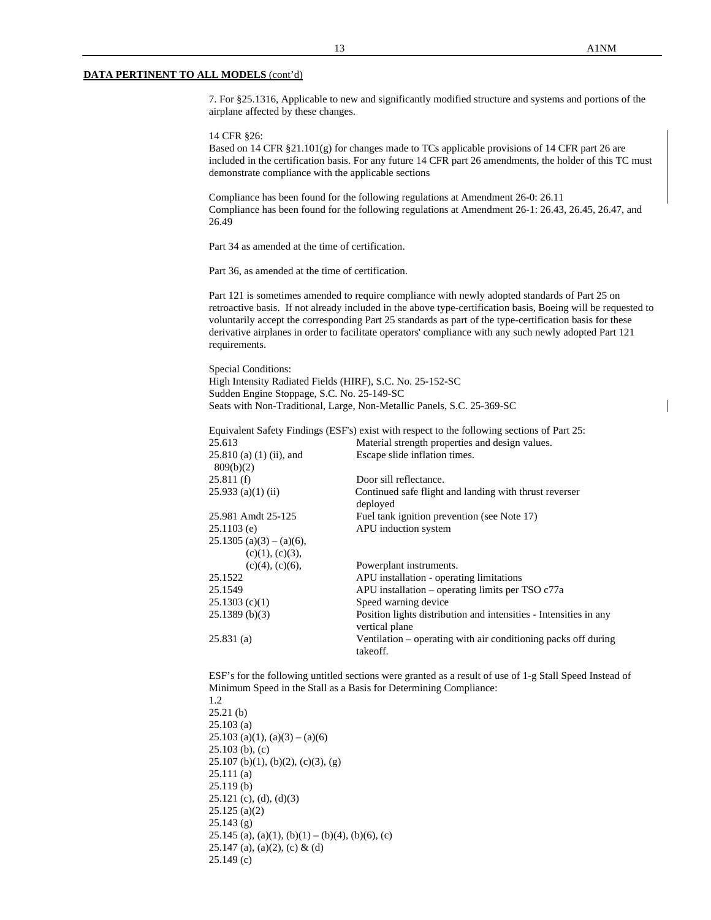7. For §25.1316, Applicable to new and significantly modified structure and systems and portions of the airplane affected by these changes.

14 CFR §26:

 Based on 14 CFR §21.101(g) for changes made to TCs applicable provisions of 14 CFR part 26 are included in the certification basis. For any future 14 CFR part 26 amendments, the holder of this TC must demonstrate compliance with the applicable sections

 Compliance has been found for the following regulations at Amendment 26-0: 26.11 Compliance has been found for the following regulations at Amendment 26-1: 26.43, 26.45, 26.47, and 26.49

Part 34 as amended at the time of certification.

Part 36, as amended at the time of certification.

Part 121 is sometimes amended to require compliance with newly adopted standards of Part 25 on retroactive basis. If not already included in the above type-certification basis, Boeing will be requested to voluntarily accept the corresponding Part 25 standards as part of the type-certification basis for these derivative airplanes in order to facilitate operators' compliance with any such newly adopted Part 121 requirements.

Special Conditions: High Intensity Radiated Fields (HIRF), S.C. No. 25-152-SC Sudden Engine Stoppage, S.C. No. 25-149-SC Seats with Non-Traditional, Large, Non-Metallic Panels, S.C. 25-369-SC

|                                         | Equivalent Safety Findings (ESF's) exist with respect to the following sections of Part 25: |  |  |
|-----------------------------------------|---------------------------------------------------------------------------------------------|--|--|
| 25.613                                  | Material strength properties and design values.                                             |  |  |
| $25.810$ (a) (1) (ii), and<br>809(b)(2) | Escape slide inflation times.                                                               |  |  |
| 25.811(f)                               | Door sill reflectance.                                                                      |  |  |
| $25.933$ (a)(1) (ii)                    | Continued safe flight and landing with thrust reverser<br>deployed                          |  |  |
| 25.981 Amdt 25-125                      | Fuel tank ignition prevention (see Note 17)                                                 |  |  |
| $25.1103$ (e)                           | APU induction system                                                                        |  |  |
| $25.1305$ (a)(3) – (a)(6),              |                                                                                             |  |  |
| (c)(1), (c)(3),                         |                                                                                             |  |  |
| $(c)(4)$ , $(c)(6)$ ,                   | Powerplant instruments.                                                                     |  |  |
| 25.1522                                 | APU installation - operating limitations                                                    |  |  |
| 25.1549                                 | APU installation – operating limits per $TSO c77a$                                          |  |  |
| 25.1303(c)(1)                           | Speed warning device                                                                        |  |  |
| 25.1389(b)(3)                           | Position lights distribution and intensities - Intensities in any<br>vertical plane         |  |  |
| 25.831(a)                               | Ventilation – operating with air conditioning packs off during<br>takeoff.                  |  |  |

ESF's for the following untitled sections were granted as a result of use of 1-g Stall Speed Instead of Minimum Speed in the Stall as a Basis for Determining Compliance:

1.2 25.21 (b) 25.103 (a)  $25.103$  (a)(1), (a)(3) – (a)(6) 25.103 (b), (c) 25.107 (b)(1), (b)(2), (c)(3), (g) 25.111 (a) 25.119 (b) 25.121 (c), (d), (d)(3) 25.125 (a)(2) 25.143 (g) 25.145 (a), (a)(1), (b)(1) – (b)(4), (b)(6), (c) 25.147 (a), (a)(2), (c) & (d) 25.149 (c)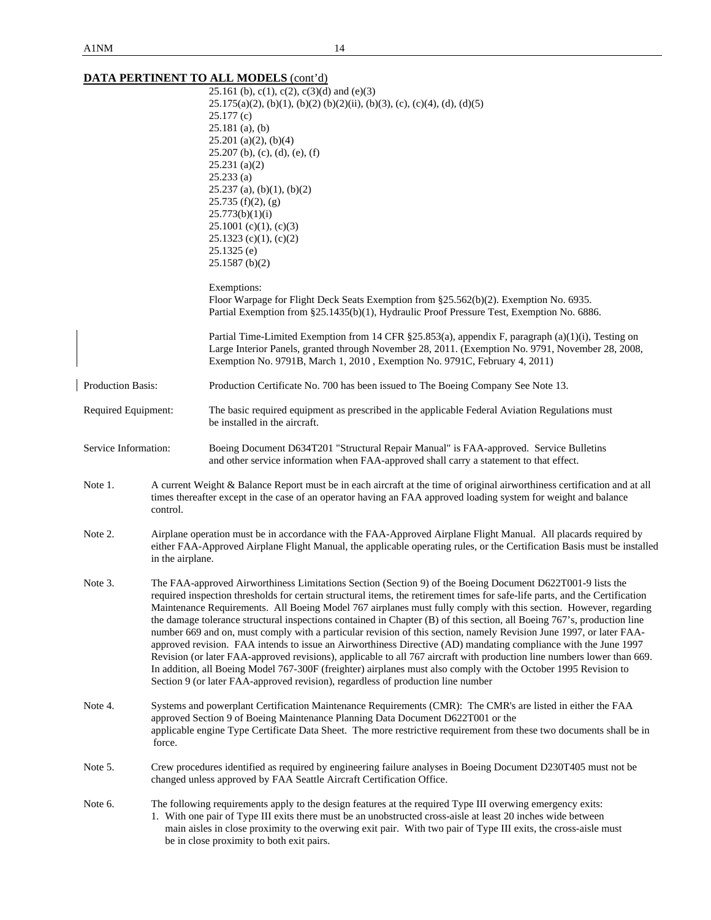|                      |                                                                                                                                                                                                                                                                                                                                                                                                                                                                                                                                                                                                                                                                                                                                                                                                                                                                                                                                                                                                                                                                       | 25.161 (b), c(1), c(2), c(3)(d) and (e)(3)<br>$25.175(a)(2)$ , (b)(1), (b)(2) (b)(2)(ii), (b)(3), (c), (c)(4), (d), (d)(5)<br>25.177(c)<br>$25.181$ (a), (b)<br>$25.201$ (a)(2), (b)(4)<br>$25.207$ (b), (c), (d), (e), (f)<br>$25.231$ (a)(2)<br>25.233(a)<br>$25.237$ (a), (b)(1), (b)(2)<br>$25.735(f)(2)$ , (g)<br>25.773(b)(1)(i)<br>$25.1001$ (c)(1), (c)(3)<br>$25.1323$ (c)(1), (c)(2)<br>$25.1325$ (e)<br>$25.1587$ (b)(2)<br>Exemptions:<br>Floor Warpage for Flight Deck Seats Exemption from §25.562(b)(2). Exemption No. 6935. |  |  |
|----------------------|-----------------------------------------------------------------------------------------------------------------------------------------------------------------------------------------------------------------------------------------------------------------------------------------------------------------------------------------------------------------------------------------------------------------------------------------------------------------------------------------------------------------------------------------------------------------------------------------------------------------------------------------------------------------------------------------------------------------------------------------------------------------------------------------------------------------------------------------------------------------------------------------------------------------------------------------------------------------------------------------------------------------------------------------------------------------------|---------------------------------------------------------------------------------------------------------------------------------------------------------------------------------------------------------------------------------------------------------------------------------------------------------------------------------------------------------------------------------------------------------------------------------------------------------------------------------------------------------------------------------------------|--|--|
|                      |                                                                                                                                                                                                                                                                                                                                                                                                                                                                                                                                                                                                                                                                                                                                                                                                                                                                                                                                                                                                                                                                       | Partial Exemption from §25.1435(b)(1), Hydraulic Proof Pressure Test, Exemption No. 6886.<br>Partial Time-Limited Exemption from 14 CFR §25.853(a), appendix F, paragraph (a)(1)(i), Testing on<br>Large Interior Panels, granted through November 28, 2011. (Exemption No. 9791, November 28, 2008,<br>Exemption No. 9791B, March 1, 2010, Exemption No. 9791C, February 4, 2011)                                                                                                                                                          |  |  |
| Production Basis:    |                                                                                                                                                                                                                                                                                                                                                                                                                                                                                                                                                                                                                                                                                                                                                                                                                                                                                                                                                                                                                                                                       | Production Certificate No. 700 has been issued to The Boeing Company See Note 13.                                                                                                                                                                                                                                                                                                                                                                                                                                                           |  |  |
| Required Equipment:  |                                                                                                                                                                                                                                                                                                                                                                                                                                                                                                                                                                                                                                                                                                                                                                                                                                                                                                                                                                                                                                                                       | The basic required equipment as prescribed in the applicable Federal Aviation Regulations must<br>be installed in the aircraft.                                                                                                                                                                                                                                                                                                                                                                                                             |  |  |
| Service Information: |                                                                                                                                                                                                                                                                                                                                                                                                                                                                                                                                                                                                                                                                                                                                                                                                                                                                                                                                                                                                                                                                       | Boeing Document D634T201 "Structural Repair Manual" is FAA-approved. Service Bulletins<br>and other service information when FAA-approved shall carry a statement to that effect.                                                                                                                                                                                                                                                                                                                                                           |  |  |
| Note 1.              | A current Weight & Balance Report must be in each aircraft at the time of original airworthiness certification and at all<br>times thereafter except in the case of an operator having an FAA approved loading system for weight and balance<br>control.                                                                                                                                                                                                                                                                                                                                                                                                                                                                                                                                                                                                                                                                                                                                                                                                              |                                                                                                                                                                                                                                                                                                                                                                                                                                                                                                                                             |  |  |
| Note 2.              | Airplane operation must be in accordance with the FAA-Approved Airplane Flight Manual. All placards required by<br>either FAA-Approved Airplane Flight Manual, the applicable operating rules, or the Certification Basis must be installed<br>in the airplane.                                                                                                                                                                                                                                                                                                                                                                                                                                                                                                                                                                                                                                                                                                                                                                                                       |                                                                                                                                                                                                                                                                                                                                                                                                                                                                                                                                             |  |  |
| Note 3.              | The FAA-approved Airworthiness Limitations Section (Section 9) of the Boeing Document D622T001-9 lists the<br>required inspection thresholds for certain structural items, the retirement times for safe-life parts, and the Certification<br>Maintenance Requirements. All Boeing Model 767 airplanes must fully comply with this section. However, regarding<br>the damage tolerance structural inspections contained in Chapter (B) of this section, all Boeing 767's, production line<br>number 669 and on, must comply with a particular revision of this section, namely Revision June 1997, or later FAA-<br>approved revision. FAA intends to issue an Airworthiness Directive (AD) mandating compliance with the June 1997<br>Revision (or later FAA-approved revisions), applicable to all 767 aircraft with production line numbers lower than 669.<br>In addition, all Boeing Model 767-300F (freighter) airplanes must also comply with the October 1995 Revision to<br>Section 9 (or later FAA-approved revision), regardless of production line number |                                                                                                                                                                                                                                                                                                                                                                                                                                                                                                                                             |  |  |
| Note 4.              | Systems and powerplant Certification Maintenance Requirements (CMR): The CMR's are listed in either the FAA<br>approved Section 9 of Boeing Maintenance Planning Data Document D622T001 or the<br>applicable engine Type Certificate Data Sheet. The more restrictive requirement from these two documents shall be in<br>force.                                                                                                                                                                                                                                                                                                                                                                                                                                                                                                                                                                                                                                                                                                                                      |                                                                                                                                                                                                                                                                                                                                                                                                                                                                                                                                             |  |  |
| Note 5.              | Crew procedures identified as required by engineering failure analyses in Boeing Document D230T405 must not be<br>changed unless approved by FAA Seattle Aircraft Certification Office.                                                                                                                                                                                                                                                                                                                                                                                                                                                                                                                                                                                                                                                                                                                                                                                                                                                                               |                                                                                                                                                                                                                                                                                                                                                                                                                                                                                                                                             |  |  |
| Note 6.              | The following requirements apply to the design features at the required Type III overwing emergency exits:<br>1. With one pair of Type III exits there must be an unobstructed cross-aisle at least 20 inches wide between<br>main aisles in close proximity to the overwing exit pair. With two pair of Type III exits, the cross-aisle must<br>be in close proximity to both exit pairs.                                                                                                                                                                                                                                                                                                                                                                                                                                                                                                                                                                                                                                                                            |                                                                                                                                                                                                                                                                                                                                                                                                                                                                                                                                             |  |  |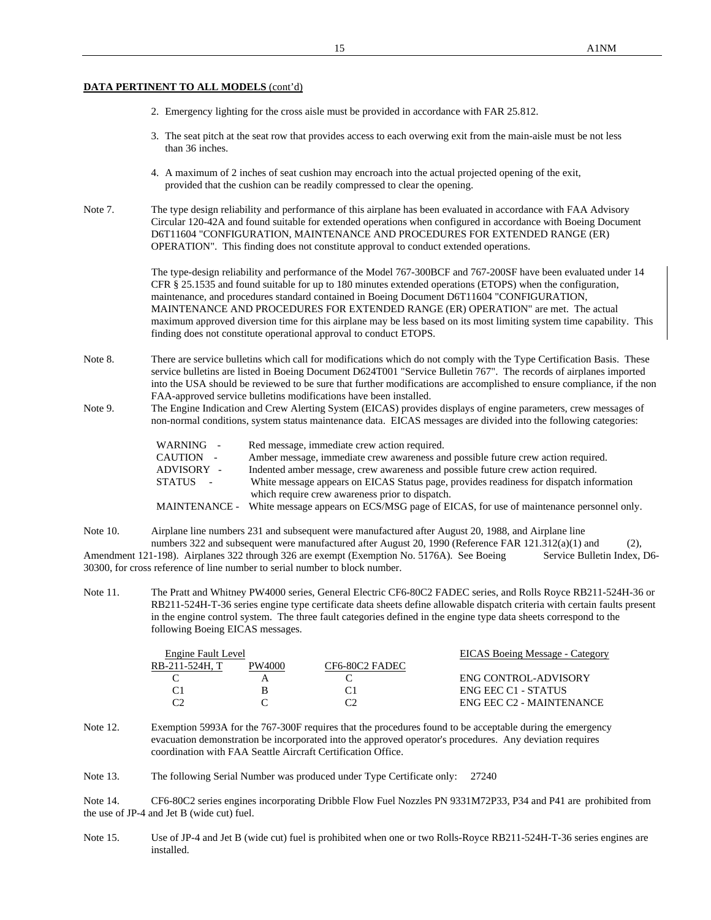- 2. Emergency lighting for the cross aisle must be provided in accordance with FAR 25.812.
- 3. The seat pitch at the seat row that provides access to each overwing exit from the main-aisle must be not less than 36 inches.
- 4. A maximum of 2 inches of seat cushion may encroach into the actual projected opening of the exit, provided that the cushion can be readily compressed to clear the opening.
- Note 7. The type design reliability and performance of this airplane has been evaluated in accordance with FAA Advisory Circular 120-42A and found suitable for extended operations when configured in accordance with Boeing Document D6T11604 "CONFIGURATION, MAINTENANCE AND PROCEDURES FOR EXTENDED RANGE (ER) OPERATION". This finding does not constitute approval to conduct extended operations.

The type-design reliability and performance of the Model 767-300BCF and 767-200SF have been evaluated under 14 CFR § 25.1535 and found suitable for up to 180 minutes extended operations (ETOPS) when the configuration, maintenance, and procedures standard contained in Boeing Document D6T11604 "CONFIGURATION, MAINTENANCE AND PROCEDURES FOR EXTENDED RANGE (ER) OPERATION" are met. The actual maximum approved diversion time for this airplane may be less based on its most limiting system time capability. This finding does not constitute operational approval to conduct ETOPS.

- Note 8. There are service bulletins which call for modifications which do not comply with the Type Certification Basis. These service bulletins are listed in Boeing Document D624T001 "Service Bulletin 767". The records of airplanes imported into the USA should be reviewed to be sure that further modifications are accomplished to ensure compliance, if the non FAA-approved service bulletins modifications have been installed.
- Note 9. The Engine Indication and Crew Alerting System (EICAS) provides displays of engine parameters, crew messages of non-normal conditions, system status maintenance data. EICAS messages are divided into the following categories:

| WARNING -  | Red message, immediate crew action required.                                                         |
|------------|------------------------------------------------------------------------------------------------------|
| CAUTION -  | Amber message, immediate crew awareness and possible future crew action required.                    |
| ADVISORY - | Indented amber message, crew awareness and possible future crew action required.                     |
| STATUS -   | White message appears on EICAS Status page, provides readiness for dispatch information              |
|            | which require crew awareness prior to dispatch.                                                      |
|            | MAINTENANCE - White message appears on ECS/MSG page of EICAS, for use of maintenance personnel only. |

Note 10. Airplane line numbers 231 and subsequent were manufactured after August 20, 1988, and Airplane line

numbers 322 and subsequent were manufactured after August 20, 1990 (Reference FAR 121.312(a)(1) and (2), Amendment 121-198). Airplanes 322 through 326 are exempt (Exemption No. 5176A). See Boeing Service Bulletin Index, D6-30300, for cross reference of line number to serial number to block number.

Note 11. The Pratt and Whitney PW4000 series, General Electric CF6-80C2 FADEC series, and Rolls Royce RB211-524H-36 or RB211-524H-T-36 series engine type certificate data sheets define allowable dispatch criteria with certain faults present in the engine control system. The three fault categories defined in the engine type data sheets correspond to the following Boeing EICAS messages.

| Engine Fault Level |                |        |                | EICAS Boeing Message - Category |
|--------------------|----------------|--------|----------------|---------------------------------|
|                    | RB-211-524H. T | PW4000 | CF6-80C2 FADEC |                                 |
|                    |                |        |                | ENG CONTROL-ADVISORY            |
|                    |                |        |                | ENG EEC C1 - STATUS             |
|                    |                |        |                | ENG EEC C2 - MAINTENANCE        |
|                    |                |        |                |                                 |

Note 12. Exemption 5993A for the 767-300F requires that the procedures found to be acceptable during the emergency evacuation demonstration be incorporated into the approved operator's procedures. Any deviation requires coordination with FAA Seattle Aircraft Certification Office.

Note 13. The following Serial Number was produced under Type Certificate only: 27240

Note 14. CF6-80C2 series engines incorporating Dribble Flow Fuel Nozzles PN 9331M72P33, P34 and P41 are prohibited from the use of JP-4 and Jet B (wide cut) fuel.

Note 15. Use of JP-4 and Jet B (wide cut) fuel is prohibited when one or two Rolls-Royce RB211-524H-T-36 series engines are installed.